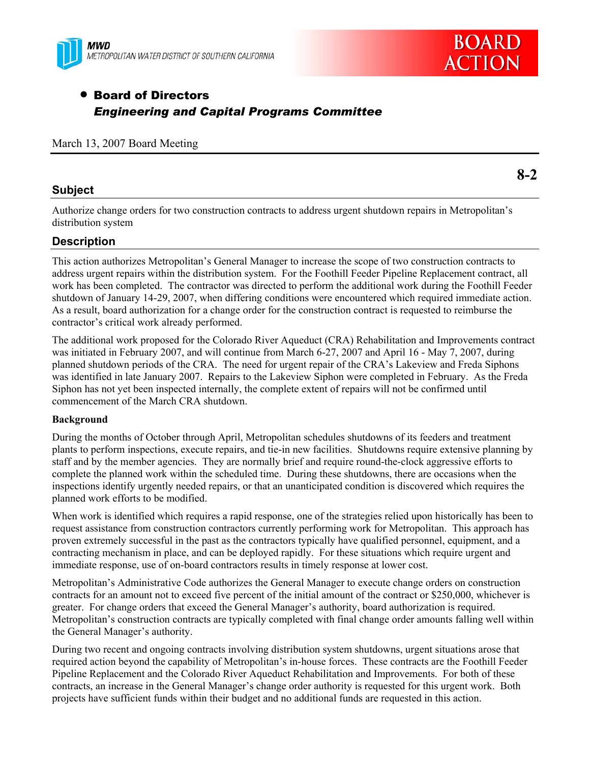



**8-2** 

# • Board of Directors *Engineering and Capital Programs Committee*

#### March 13, 2007 Board Meeting

## **Subject**

Authorize change orders for two construction contracts to address urgent shutdown repairs in Metropolitan's distribution system

# **Description**

This action authorizes Metropolitan's General Manager to increase the scope of two construction contracts to address urgent repairs within the distribution system. For the Foothill Feeder Pipeline Replacement contract, all work has been completed. The contractor was directed to perform the additional work during the Foothill Feeder shutdown of January 14-29, 2007, when differing conditions were encountered which required immediate action. As a result, board authorization for a change order for the construction contract is requested to reimburse the contractor's critical work already performed.

The additional work proposed for the Colorado River Aqueduct (CRA) Rehabilitation and Improvements contract was initiated in February 2007, and will continue from March 6-27, 2007 and April 16 - May 7, 2007, during planned shutdown periods of the CRA. The need for urgent repair of the CRA's Lakeview and Freda Siphons was identified in late January 2007. Repairs to the Lakeview Siphon were completed in February. As the Freda Siphon has not yet been inspected internally, the complete extent of repairs will not be confirmed until commencement of the March CRA shutdown.

#### **Background**

During the months of October through April, Metropolitan schedules shutdowns of its feeders and treatment plants to perform inspections, execute repairs, and tie-in new facilities. Shutdowns require extensive planning by staff and by the member agencies. They are normally brief and require round-the-clock aggressive efforts to complete the planned work within the scheduled time. During these shutdowns, there are occasions when the inspections identify urgently needed repairs, or that an unanticipated condition is discovered which requires the planned work efforts to be modified.

When work is identified which requires a rapid response, one of the strategies relied upon historically has been to request assistance from construction contractors currently performing work for Metropolitan. This approach has proven extremely successful in the past as the contractors typically have qualified personnel, equipment, and a contracting mechanism in place, and can be deployed rapidly. For these situations which require urgent and immediate response, use of on-board contractors results in timely response at lower cost.

Metropolitan's Administrative Code authorizes the General Manager to execute change orders on construction contracts for an amount not to exceed five percent of the initial amount of the contract or \$250,000, whichever is greater. For change orders that exceed the General Manager's authority, board authorization is required. Metropolitan's construction contracts are typically completed with final change order amounts falling well within the General Manager's authority.

During two recent and ongoing contracts involving distribution system shutdowns, urgent situations arose that required action beyond the capability of Metropolitan's in-house forces. These contracts are the Foothill Feeder Pipeline Replacement and the Colorado River Aqueduct Rehabilitation and Improvements. For both of these contracts, an increase in the General Manager's change order authority is requested for this urgent work. Both projects have sufficient funds within their budget and no additional funds are requested in this action.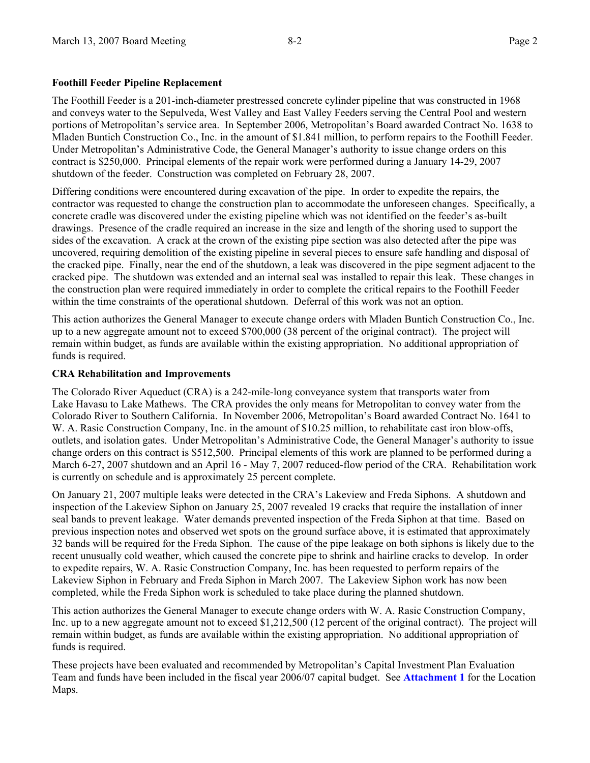#### **Foothill Feeder Pipeline Replacement**

The Foothill Feeder is a 201-inch-diameter prestressed concrete cylinder pipeline that was constructed in 1968 and conveys water to the Sepulveda, West Valley and East Valley Feeders serving the Central Pool and western portions of Metropolitan's service area. In September 2006, Metropolitan's Board awarded Contract No. 1638 to Mladen Buntich Construction Co., Inc. in the amount of \$1.841 million, to perform repairs to the Foothill Feeder. Under Metropolitan's Administrative Code, the General Manager's authority to issue change orders on this contract is \$250,000. Principal elements of the repair work were performed during a January 14-29, 2007 shutdown of the feeder. Construction was completed on February 28, 2007.

Differing conditions were encountered during excavation of the pipe. In order to expedite the repairs, the contractor was requested to change the construction plan to accommodate the unforeseen changes. Specifically, a concrete cradle was discovered under the existing pipeline which was not identified on the feeder's as-built drawings. Presence of the cradle required an increase in the size and length of the shoring used to support the sides of the excavation. A crack at the crown of the existing pipe section was also detected after the pipe was uncovered, requiring demolition of the existing pipeline in several pieces to ensure safe handling and disposal of the cracked pipe. Finally, near the end of the shutdown, a leak was discovered in the pipe segment adjacent to the cracked pipe. The shutdown was extended and an internal seal was installed to repair this leak. These changes in the construction plan were required immediately in order to complete the critical repairs to the Foothill Feeder within the time constraints of the operational shutdown. Deferral of this work was not an option.

This action authorizes the General Manager to execute change orders with Mladen Buntich Construction Co., Inc. up to a new aggregate amount not to exceed \$700,000 (38 percent of the original contract). The project will remain within budget, as funds are available within the existing appropriation. No additional appropriation of funds is required.

#### **CRA Rehabilitation and Improvements**

The Colorado River Aqueduct (CRA) is a 242-mile-long conveyance system that transports water from Lake Havasu to Lake Mathews. The CRA provides the only means for Metropolitan to convey water from the Colorado River to Southern California. In November 2006, Metropolitan's Board awarded Contract No. 1641 to W. A. Rasic Construction Company, Inc. in the amount of \$10.25 million, to rehabilitate cast iron blow-offs, outlets, and isolation gates. Under Metropolitan's Administrative Code, the General Manager's authority to issue change orders on this contract is \$512,500. Principal elements of this work are planned to be performed during a March 6-27, 2007 shutdown and an April 16 - May 7, 2007 reduced-flow period of the CRA. Rehabilitation work is currently on schedule and is approximately 25 percent complete.

On January 21, 2007 multiple leaks were detected in the CRA's Lakeview and Freda Siphons. A shutdown and inspection of the Lakeview Siphon on January 25, 2007 revealed 19 cracks that require the installation of inner seal bands to prevent leakage. Water demands prevented inspection of the Freda Siphon at that time. Based on previous inspection notes and observed wet spots on the ground surface above, it is estimated that approximately 32 bands will be required for the Freda Siphon. The cause of the pipe leakage on both siphons is likely due to the recent unusually cold weather, which caused the concrete pipe to shrink and hairline cracks to develop. In order to expedite repairs, W. A. Rasic Construction Company, Inc. has been requested to perform repairs of the Lakeview Siphon in February and Freda Siphon in March 2007. The Lakeview Siphon work has now been completed, while the Freda Siphon work is scheduled to take place during the planned shutdown.

This action authorizes the General Manager to execute change orders with W. A. Rasic Construction Company, Inc. up to a new aggregate amount not to exceed \$1,212,500 (12 percent of the original contract). The project will remain within budget, as funds are available within the existing appropriation. No additional appropriation of funds is required.

These projects have been evaluated and recommended by Metropolitan's Capital Investment Plan Evaluation Team and funds have been included in the fiscal year 2006/07 capital budget. See **Attachment 1** for the Location Maps.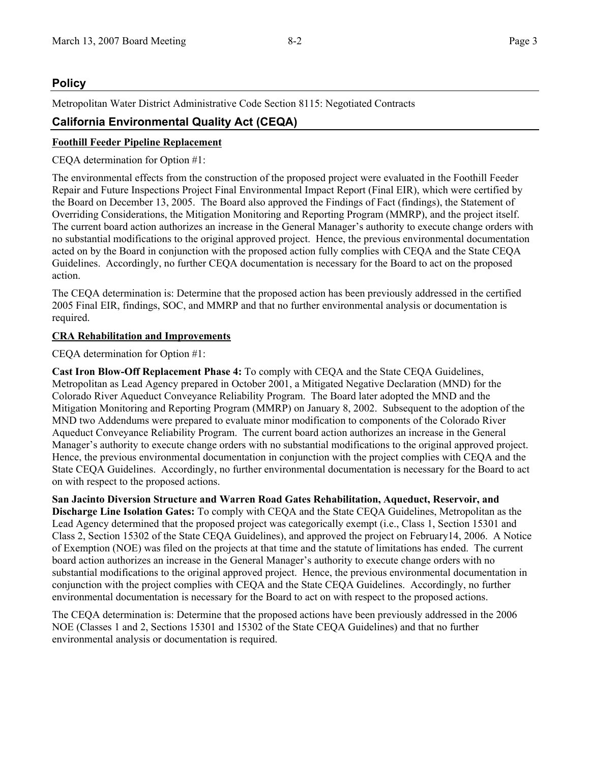# **Policy**

Metropolitan Water District Administrative Code Section 8115: Negotiated Contracts

# **California Environmental Quality Act (CEQA)**

## **Foothill Feeder Pipeline Replacement**

CEQA determination for Option #1:

The environmental effects from the construction of the proposed project were evaluated in the Foothill Feeder Repair and Future Inspections Project Final Environmental Impact Report (Final EIR), which were certified by the Board on December 13, 2005. The Board also approved the Findings of Fact (findings), the Statement of Overriding Considerations, the Mitigation Monitoring and Reporting Program (MMRP), and the project itself. The current board action authorizes an increase in the General Manager's authority to execute change orders with no substantial modifications to the original approved project. Hence, the previous environmental documentation acted on by the Board in conjunction with the proposed action fully complies with CEQA and the State CEQA Guidelines. Accordingly, no further CEQA documentation is necessary for the Board to act on the proposed action.

The CEQA determination is: Determine that the proposed action has been previously addressed in the certified 2005 Final EIR, findings, SOC, and MMRP and that no further environmental analysis or documentation is required.

## **CRA Rehabilitation and Improvements**

CEQA determination for Option #1:

**Cast Iron Blow-Off Replacement Phase 4:** To comply with CEQA and the State CEQA Guidelines, Metropolitan as Lead Agency prepared in October 2001, a Mitigated Negative Declaration (MND) for the Colorado River Aqueduct Conveyance Reliability Program. The Board later adopted the MND and the Mitigation Monitoring and Reporting Program (MMRP) on January 8, 2002. Subsequent to the adoption of the MND two Addendums were prepared to evaluate minor modification to components of the Colorado River Aqueduct Conveyance Reliability Program. The current board action authorizes an increase in the General Manager's authority to execute change orders with no substantial modifications to the original approved project. Hence, the previous environmental documentation in conjunction with the project complies with CEQA and the State CEQA Guidelines. Accordingly, no further environmental documentation is necessary for the Board to act on with respect to the proposed actions.

**San Jacinto Diversion Structure and Warren Road Gates Rehabilitation, Aqueduct, Reservoir, and Discharge Line Isolation Gates:** To comply with CEQA and the State CEQA Guidelines, Metropolitan as the Lead Agency determined that the proposed project was categorically exempt (i.e., Class 1, Section 15301 and Class 2, Section 15302 of the State CEQA Guidelines), and approved the project on February14, 2006. A Notice of Exemption (NOE) was filed on the projects at that time and the statute of limitations has ended. The current board action authorizes an increase in the General Manager's authority to execute change orders with no substantial modifications to the original approved project. Hence, the previous environmental documentation in conjunction with the project complies with CEQA and the State CEQA Guidelines. Accordingly, no further environmental documentation is necessary for the Board to act on with respect to the proposed actions.

The CEQA determination is: Determine that the proposed actions have been previously addressed in the 2006 NOE (Classes 1 and 2, Sections 15301 and 15302 of the State CEQA Guidelines) and that no further environmental analysis or documentation is required.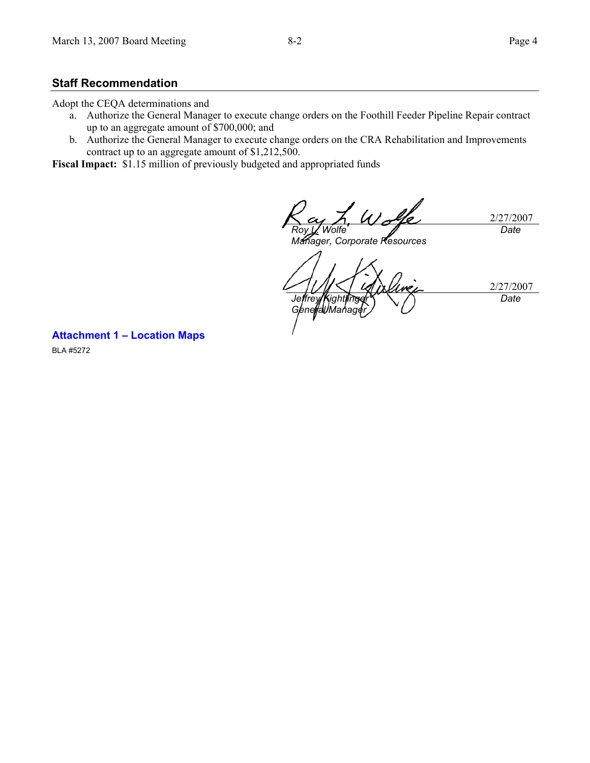#### **Staff Recommendation**

Adopt the CEQA determinations and

- a. Authorize the General Manager to execute change orders on the Foothill Feeder Pipeline Repair contract up to an aggregate amount of \$700,000; and
- b. Authorize the General Manager to execute change orders on the CRA Rehabilitation and Improvements contract up to an aggregate amount of \$1,212,500.

**Fiscal Impact:** \$1.15 million of previously budgeted and appropriated funds

2/27/2007 *Roy L. Wolfe Date* 

*Manager, Corporate Resources* 

2/27/2007 *Jeffrey Kightlinger General Manager Date* 

**Attachment 1 – Location Maps** 

BLA #5272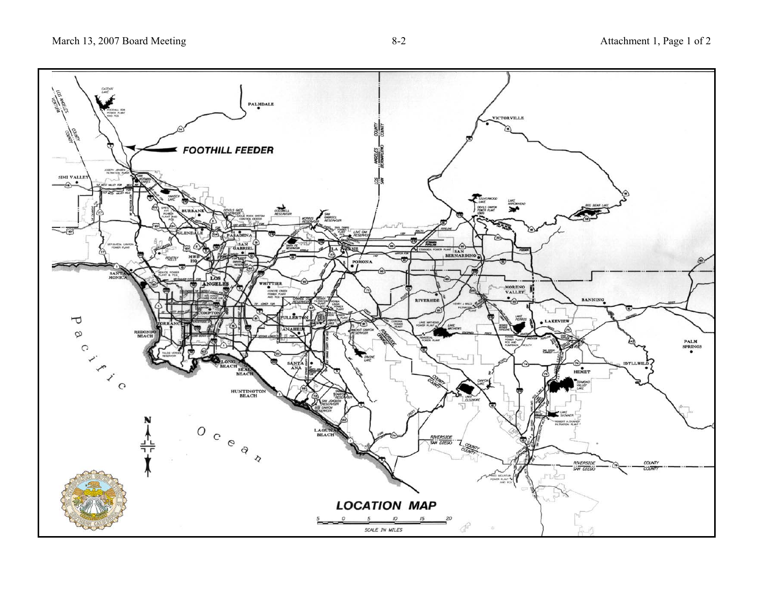